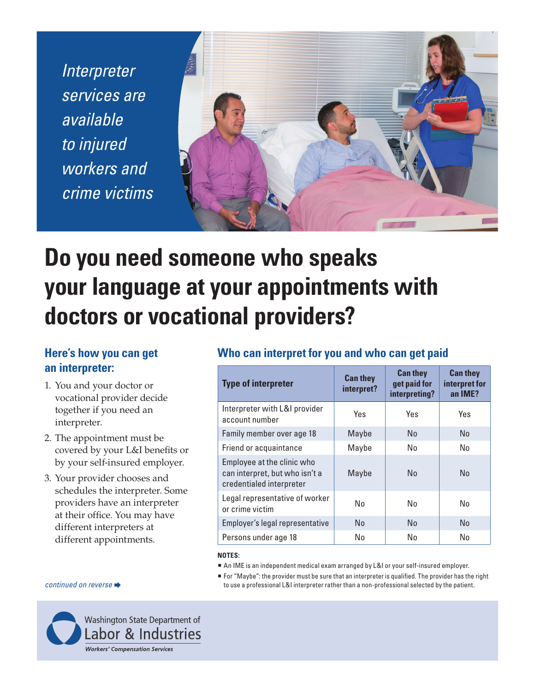*Interpreter services are available to injured workers and crime victims*



# **Do you need someone who speaks your language at your appointments with doctors or vocational providers?**

# **Here's how you can get an interpreter:**

- 1. You and your doctor or vocational provider decide together if you need an interpreter.
- 2. The appointment must be covered by your L&I benefits or by your self-insured employer.
- 3. Your provider chooses and schedules the interpreter. Some providers have an interpreter at their office. You may have different interpreters at different appointments.

### **Who can interpret for you and who can get paid**

| <b>Type of interpreter</b>                                                               | <b>Can they</b><br>interpret? | <b>Can they</b><br>get paid for<br>interpreting? | <b>Can they</b><br>interpret for<br>an IME? |
|------------------------------------------------------------------------------------------|-------------------------------|--------------------------------------------------|---------------------------------------------|
| Interpreter with L&I provider<br>account number                                          | Yes                           | Yes                                              | Yes                                         |
| Family member over age 18                                                                | Maybe                         | No                                               | No                                          |
| Friend or acquaintance                                                                   | Maybe                         | No                                               | No                                          |
| Employee at the clinic who<br>can interpret, but who isn't a<br>credentialed interpreter | Maybe                         | No                                               | N <sub>0</sub>                              |
| Legal representative of worker<br>or crime victim                                        | No                            | No                                               | No                                          |
| Employer's legal representative                                                          | N <sub>0</sub>                | No                                               | N <sub>0</sub>                              |
| Persons under age 18                                                                     | No                            | No                                               | No                                          |

### **NOTES:**

- An IME is an independent medical exam arranged by L&I or your self-insured employer.
- For "Maybe": the provider must be sure that an interpreter is qualified. The provider has the right *continued on reverse*  $\rightarrow$  to use a professional L&I interpreter rather than a non-professional selected by the patient.